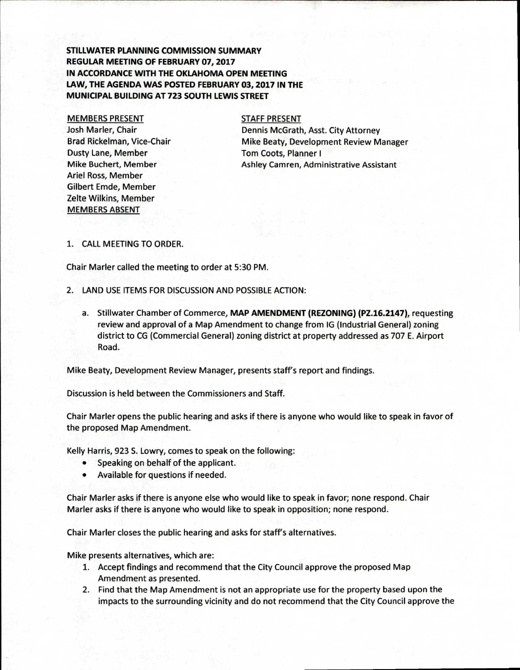**STILLWATER PLANNING COMMISSION SUMMARY REGULAR MEETING OF FEBRUARY 07, 2017 IN ACCORDANCE WITH THE OKLAHOMA OPEN MEETING LAW, THE AGENDA WAS POSTED FEBRUARY 03, 2017 IN THE MUNICIPAL BUILDING AT 723 SOUTH LEWIS STREET** 

### MEMBERS PRESENT

Josh Marler, Chair Brad Rickelman, Vice-Chair Dusty Lane, Member Mike Buchert, Member Ariel Ross, Member Gilbert Emde, Member Zelte Wilkins, Member MEMBERS ABSENT

### STAFF PRESENT

Dennis McGrath, Asst. City Attorney Mike Beaty, Development Review Manager Tom Coots, Planner I Ashley Camren, Administrative Assistant

### 1. CALL MEETING TO ORDER.

Chair Marler called the meeting to order at 5:30 PM.

- 2. LAND USE ITEMS FOR DISCUSSION AND POSSIBLE ACTION:
	- a. Stillwater Chamber of Commerce, **MAP AMENDMENT (REZONING) (PZ.16.2147),** requesting review and approval of a Map Amendment to change from IG (Industrial General) zoning district to CG (Commercial General) zoning district at property addressed as 707 E. Airport Road.

Mike Beaty, Development Review Manager, presents staff's report and findings.

Discussion is held between the Commissioners and Staff.

Chair Marler opens the public hearing and asks if there is anyone who would like to speak in favor of the proposed Map Amendment.

Kelly Harris, 923 S. Lowry, comes to speak on the following:

- Speaking on behalf of the applicant.
- Available for questions if needed.

Chair Marler asks if there is anyone else who would like to speak in favor; none respond. Chair Marler asks if there is anyone who would like to speak in opposition; none respond.

Chair Marler closes the public hearing and asks for staff's alternatives.

Mike presents alternatives, which are:

- 1. Accept findings and recommend that the City Council approve the proposed Map Amendment as presented.
- 2. Find that the Map Amendment is not an appropriate use for the property based upon the impacts to the surrounding vicinity and do not recommend that the City Council approve the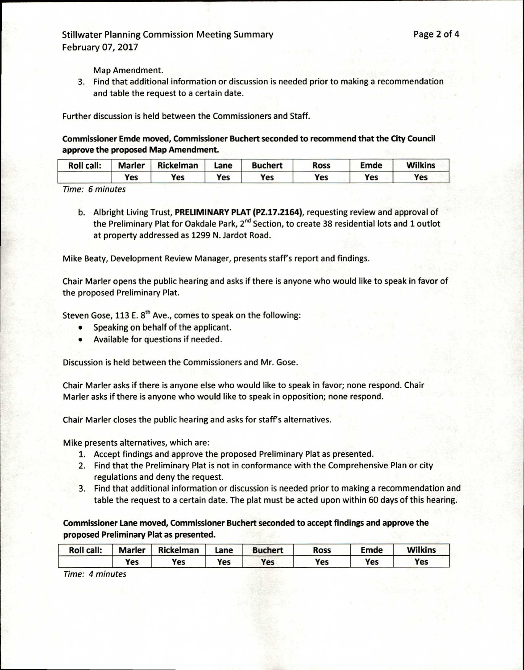# Stillwater Planning Commission Meeting Summary **Page 2 of 4** Page 2 of 4 February 07, 2017

Map Amendment.

3. Find that additional information or discussion is needed prior to making a recommendation and table the request to a certain date.

Further discussion is held between the Commissioners and Staff.

**Commissioner Emde moved, Commissioner Buchert seconded to recommend that the City Council approve the proposed Map Amendment.** 

| <b>Roll call:</b> | <b>Marler</b> | Rickelman | Lane | <b>Buchert</b> | <b>Ross</b> | Emde       | <b>Wilkins</b> |
|-------------------|---------------|-----------|------|----------------|-------------|------------|----------------|
|                   | Yes           | Yes       | Yes  | Yes            | Yes         | <b>Yes</b> | Yes            |

Time: 6 minutes

b. Albright Living Trust, **PRELIMINARY PLAT (P2.17.2164),** requesting review and approval of the Preliminary Plat for Oakdale Park, 2<sup>nd</sup> Section, to create 38 residential lots and 1 outlot at property addressed as 1299 N. Jardot Road.

Mike Beaty, Development Review Manager, presents staff's report and findings.

Chair Marler opens the public hearing and asks if there is anyone who would like to speak in favor of the proposed Preliminary Plat.

Steven Gose, 113 E.  $8<sup>th</sup>$  Ave., comes to speak on the following:

- Speaking on behalf of the applicant.
- Available for questions if needed.

Discussion is held between the Commissioners and Mr. Gose.

Chair Marler asks if there is anyone else who would like to speak in favor; none respond. Chair Marler asks if there is anyone who would like to speak in opposition; none respond.

Chair Marler closes the public hearing and asks for staff's alternatives.

Mike presents alternatives, which are:

- 1. Accept findings and approve the proposed Preliminary Plat as presented.
- 2. Find that the Preliminary Plat is not in conformance with the Comprehensive Plan or city regulations and deny the request.
- 3. Find that additional information or discussion is needed prior to making a recommendation and table the request to a certain date. The plat must be acted upon within 60 days of this hearing.

**Commissioner Lane moved, Commissioner Buchert seconded to accept findings and approve the proposed Preliminary Plat as presented.** 

| <b>Roll call:</b> | <b>Marler</b> | <b>Rickelman</b> | Lane | <b>Buchert</b> | <b>Ross</b> | Emde | <b>Wilkins</b> |
|-------------------|---------------|------------------|------|----------------|-------------|------|----------------|
|                   | Yes           | Yes              | Yes  | Yes            | Yes         | Yes  | Yes            |

Time: 4 minutes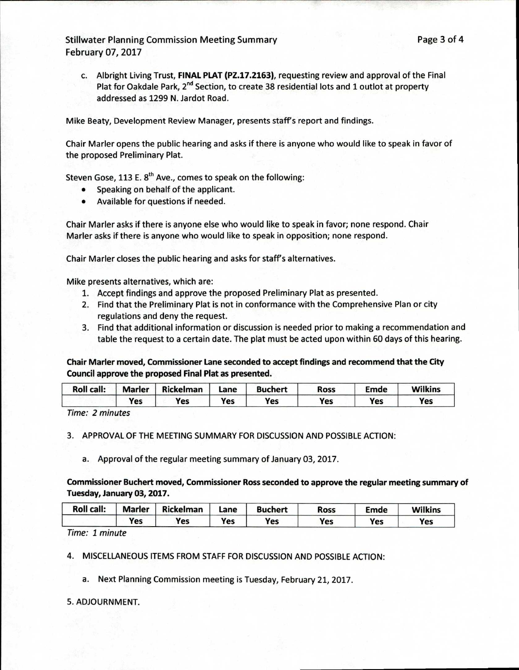c. Albright Living Trust, **FINAL PLAT (PZ.17.2163),** requesting review and approval of the Final Plat for Oakdale Park, 2<sup>nd</sup> Section, to create 38 residential lots and 1 outlot at property addressed as 1299 N. Jardot Road.

Mike Beaty, Development Review Manager, presents staff's report and findings.

Chair Marler opens the public hearing and asks if there is anyone who would like to speak in favor of the proposed Preliminary Plat.

Steven Gose, 113 E.  $8<sup>th</sup>$  Ave., comes to speak on the following:

- Speaking on behalf of the applicant.
- Available for questions if needed.

Chair Marler asks if there is anyone else who would like to speak in favor; none respond. Chair Marler asks if there is anyone who would like to speak in opposition; none respond.

Chair Marler closes the public hearing and asks for staff's alternatives.

Mike presents alternatives, which are:

- 1. Accept findings and approve the proposed Preliminary Plat as presented.
- 2. Find that the Preliminary Plat is not in conformance with the Comprehensive Plan or city regulations and deny the request.
- 3. Find that additional information or discussion is needed prior to making a recommendation and table the request to a certain date. The plat must be acted upon within 60 days of this hearing.

**Chair Marler moved, Commissioner Lane seconded to accept findings and recommend that the City Council approve the proposed Final Plat as presented.** 

| <b>Roll call:</b> | <b>Marler</b> | <b>Rickelman</b> | Lane | <b>Buchert</b> | <b>Ross</b> | Emde | <b>Wilkins</b> |
|-------------------|---------------|------------------|------|----------------|-------------|------|----------------|
|                   | Yes           | Yes              | Yes  | Yes            | Yes         | Yes  | Yes            |

Time: 2 minutes

3. APPROVAL OF THE MEETING SUMMARY FOR DISCUSSION AND POSSIBLE ACTION:

a. Approval of the regular meeting summary of January 03, 2017.

# **Commissioner Buchert moved, Commissioner Ross seconded to approve the regular meeting summary of Tuesday, January 03, 2017.**

| <b>Roll call:</b> | <b>Marler</b> | <b>Rickelman</b> | Lane | <b>Buchert</b> | Ross | Emde       | <b>Wilkins</b> |
|-------------------|---------------|------------------|------|----------------|------|------------|----------------|
|                   | Yes           | Yes              | Yes  | Yes            | Yes  | <b>Yes</b> | Yes            |

Time: 1 minute

4. MISCELLANEOUS ITEMS FROM STAFF FOR DISCUSSION AND POSSIBLE ACTION:

a. Next Planning Commission meeting is Tuesday, February 21, 2017.

## 5. ADJOURNMENT.